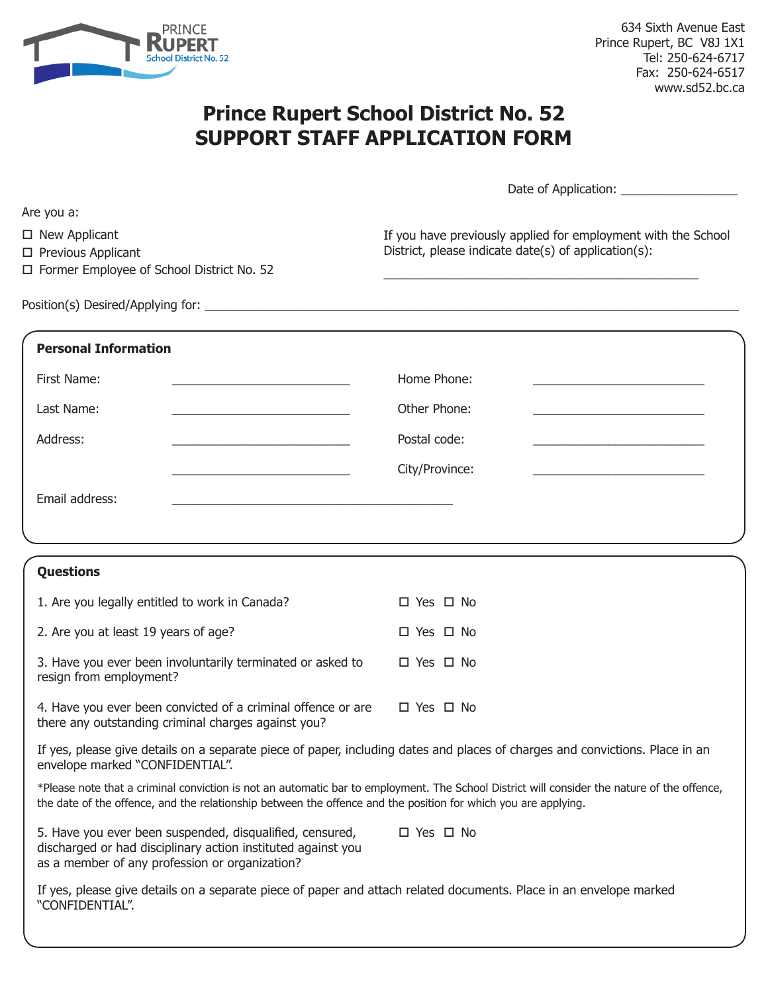

# **Prince Rupert School District No. 52 SUPPORT STAFF APPLICATION FORM**

Date of Application: \_\_\_\_\_\_\_\_\_\_\_\_\_\_\_\_\_

Are you a:

- $\square$  New Applicant
- □ Previous Applicant

Former Employee of School District No. 52

If you have previously applied for employment with the School District, please indicate date(s) of application(s):

\_\_\_\_\_\_\_\_\_\_\_\_\_\_\_\_\_\_\_\_\_\_\_\_\_\_\_\_\_\_\_\_\_\_\_\_\_\_\_\_\_\_\_\_\_\_

Position(s) Desired/Applying for:

| <b>Personal Information</b>                    |                      |  |
|------------------------------------------------|----------------------|--|
| First Name:                                    | Home Phone:          |  |
| Last Name:                                     | Other Phone:         |  |
| Address:                                       | Postal code:         |  |
|                                                | City/Province:       |  |
| Email address:                                 |                      |  |
|                                                |                      |  |
| Questions                                      |                      |  |
| 1. Are you legally entitled to work in Canada? | $\Box$ Yes $\Box$ No |  |
| 2. Are you at least 19 years of age?           | □ Yes □ No           |  |

3. Have you ever been involuntarily terminated or asked to  $\Box$  Yes  $\Box$  No resign from employment?

| 4. Have you ever been convicted of a criminal offence or are | □ Yes □ No |
|--------------------------------------------------------------|------------|
| there any outstanding criminal charges against you?          |            |

If yes, please give details on a separate piece of paper, including dates and places of charges and convictions. Place in an envelope marked "CONFIDENTIAL".

\*Please note that a criminal conviction is not an automatic bar to employment. The School District will consider the nature of the offence, the date of the offence, and the relationship between the offence and the position for which you are applying.

| 5. Have you ever been suspended, disqualified, censured,     | $\Box$ Yes $\Box$ No |  |
|--------------------------------------------------------------|----------------------|--|
| discharged or had disciplinary action instituted against you |                      |  |
| as a member of any profession or organization?               |                      |  |

If yes, please give details on a separate piece of paper and attach related documents. Place in an envelope marked "CONFIDENTIAL".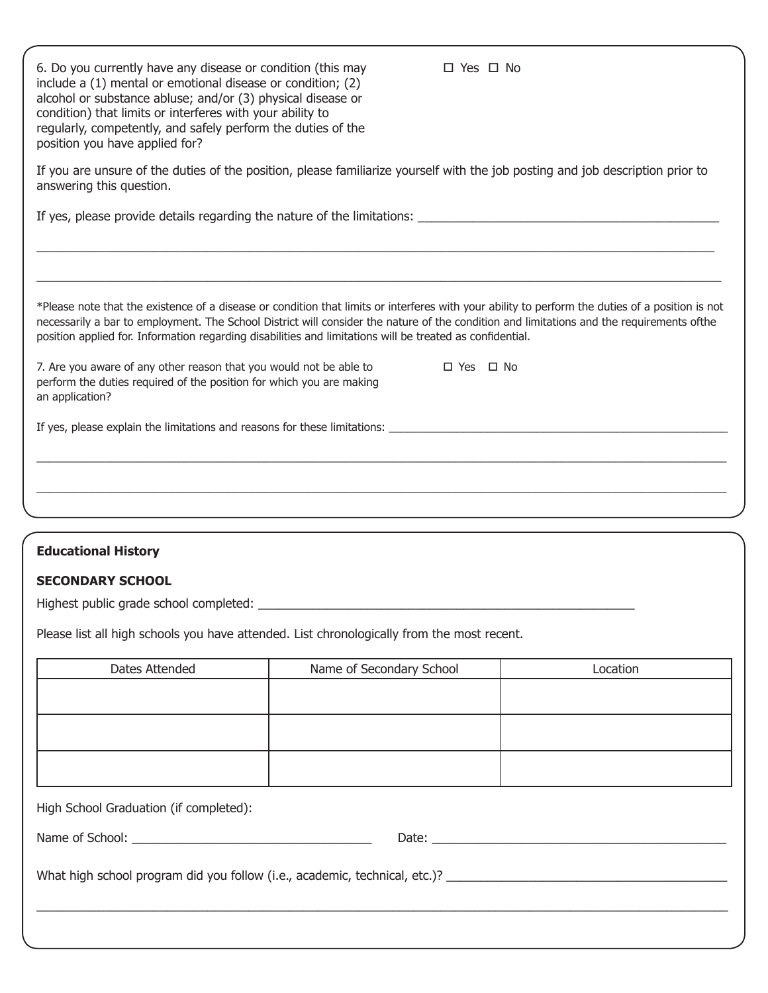| 6. Do you currently have any disease or condition (this may<br>include a (1) mental or emotional disease or condition; (2)<br>alcohol or substance abluse; and/or (3) physical disease or<br>condition) that limits or interferes with your ability to<br>regularly, competently, and safely perform the duties of the<br>position you have applied for? |                          | $\Box$ Yes $\Box$ No       |          |
|----------------------------------------------------------------------------------------------------------------------------------------------------------------------------------------------------------------------------------------------------------------------------------------------------------------------------------------------------------|--------------------------|----------------------------|----------|
| If you are unsure of the duties of the position, please familiarize yourself with the job posting and job description prior to<br>answering this question.                                                                                                                                                                                               |                          |                            |          |
|                                                                                                                                                                                                                                                                                                                                                          |                          |                            |          |
| *Please note that the existence of a disease or condition that limits or interferes with your ability to perform the duties of a position is not<br>necessarily a bar to employment. The School District will consider the nature of the condition and limitations and the requirements ofthe                                                            |                          |                            |          |
| position applied for. Information regarding disabilities and limitations will be treated as confidential.<br>7. Are you aware of any other reason that you would not be able to<br>perform the duties required of the position for which you are making<br>an application?                                                                               |                          | $\square$ Yes $\square$ No |          |
|                                                                                                                                                                                                                                                                                                                                                          |                          |                            |          |
|                                                                                                                                                                                                                                                                                                                                                          |                          |                            |          |
|                                                                                                                                                                                                                                                                                                                                                          |                          |                            |          |
| <b>Educational History</b>                                                                                                                                                                                                                                                                                                                               |                          |                            |          |
| <b>SECONDARY SCHOOL</b>                                                                                                                                                                                                                                                                                                                                  |                          |                            |          |
| Highest public grade school completed: _                                                                                                                                                                                                                                                                                                                 |                          |                            |          |
| Please list all high schools you have attended. List chronologically from the most recent.                                                                                                                                                                                                                                                               |                          |                            |          |
| Dates Attended                                                                                                                                                                                                                                                                                                                                           | Name of Secondary School |                            | Location |
|                                                                                                                                                                                                                                                                                                                                                          |                          |                            |          |
|                                                                                                                                                                                                                                                                                                                                                          |                          |                            |          |
|                                                                                                                                                                                                                                                                                                                                                          |                          |                            |          |
| High School Graduation (if completed):                                                                                                                                                                                                                                                                                                                   |                          |                            |          |
|                                                                                                                                                                                                                                                                                                                                                          |                          |                            |          |
|                                                                                                                                                                                                                                                                                                                                                          |                          |                            |          |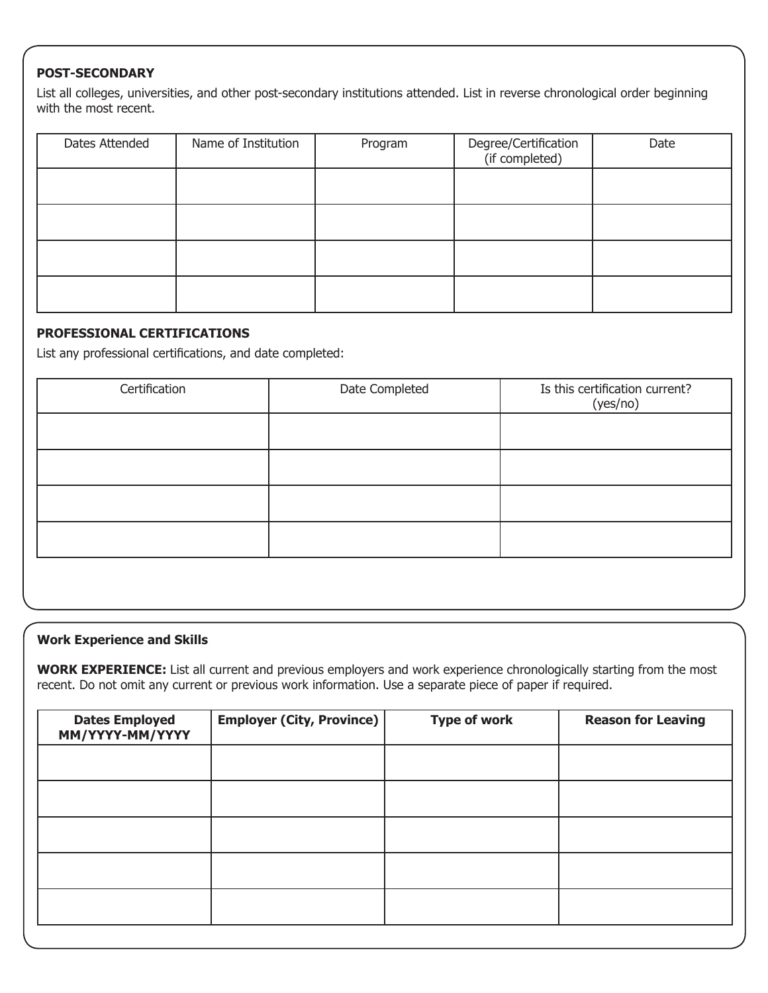## **POST-SECONDARY**

List all colleges, universities, and other post-secondary institutions attended. List in reverse chronological order beginning with the most recent.

| Dates Attended | Name of Institution | Program | Degree/Certification<br>(if completed) | Date |
|----------------|---------------------|---------|----------------------------------------|------|
|                |                     |         |                                        |      |
|                |                     |         |                                        |      |
|                |                     |         |                                        |      |
|                |                     |         |                                        |      |

# **PROFESSIONAL CERTIFICATIONS**

List any professional certifications, and date completed:

| Certification | Date Completed | Is this certification current?<br>(yes/no) |
|---------------|----------------|--------------------------------------------|
|               |                |                                            |
|               |                |                                            |
|               |                |                                            |
|               |                |                                            |
|               |                |                                            |

#### **Work Experience and Skills**

**WORK EXPERIENCE:** List all current and previous employers and work experience chronologically starting from the most recent. Do not omit any current or previous work information. Use a separate piece of paper if required.

| <b>Dates Employed</b><br>MM/YYYY-MM/YYYY | <b>Employer (City, Province)</b> | <b>Type of work</b> | <b>Reason for Leaving</b> |
|------------------------------------------|----------------------------------|---------------------|---------------------------|
|                                          |                                  |                     |                           |
|                                          |                                  |                     |                           |
|                                          |                                  |                     |                           |
|                                          |                                  |                     |                           |
|                                          |                                  |                     |                           |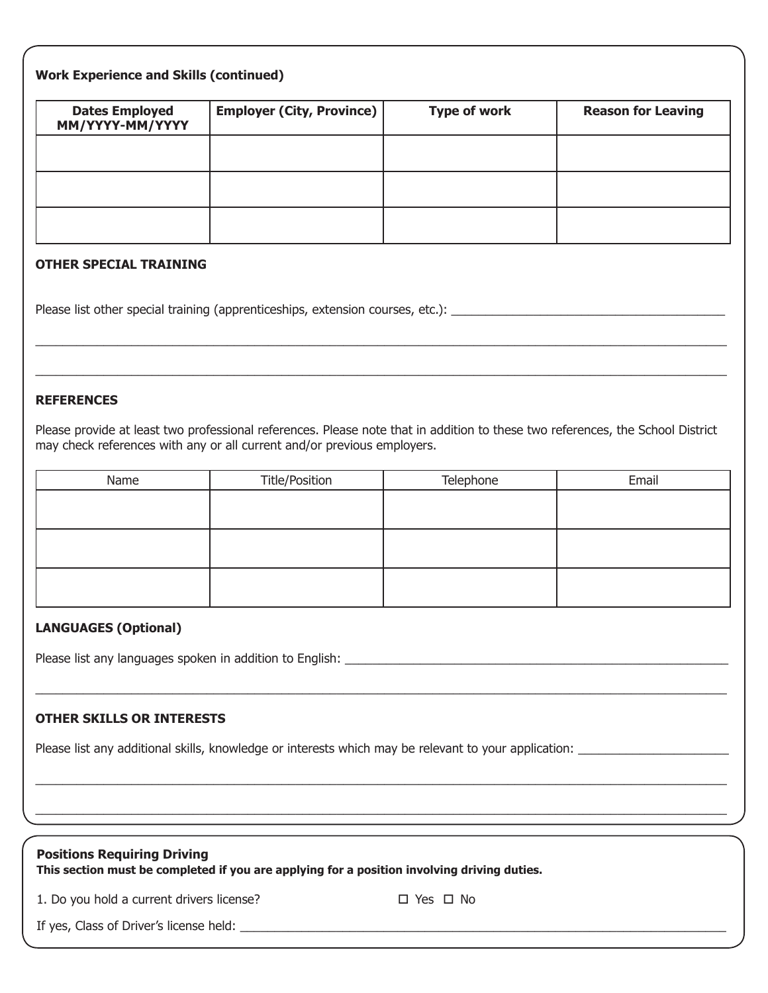## **OTHER SPECIAL TRAINING**

Please list other special training (apprenticeships, extension courses, etc.): \_\_\_\_\_\_\_\_\_\_\_\_\_\_\_\_\_\_\_\_\_\_\_\_\_\_\_\_\_\_\_

#### **REFERENCES**

Please provide at least two professional references. Please note that in addition to these two references, the School District may check references with any or all current and/or previous employers.

 $\_$  , and the set of the set of the set of the set of the set of the set of the set of the set of the set of the set of the set of the set of the set of the set of the set of the set of the set of the set of the set of th

 $\_$  , and the set of the set of the set of the set of the set of the set of the set of the set of the set of the set of the set of the set of the set of the set of the set of the set of the set of the set of the set of th

| Name | Title/Position | Telephone | Email |
|------|----------------|-----------|-------|
|      |                |           |       |
|      |                |           |       |
|      |                |           |       |
|      |                |           |       |
|      |                |           |       |
|      |                |           |       |

 $\_$  , and the set of the set of the set of the set of the set of the set of the set of the set of the set of the set of the set of the set of the set of the set of the set of the set of the set of the set of the set of th

 $\_$  , and the set of the set of the set of the set of the set of the set of the set of the set of the set of the set of the set of the set of the set of the set of the set of the set of the set of the set of the set of th

 $\_$  , and the set of the set of the set of the set of the set of the set of the set of the set of the set of the set of the set of the set of the set of the set of the set of the set of the set of the set of the set of th

### **LANGUAGES (Optional)**

Please list any languages spoken in addition to English: \_\_\_\_\_\_\_\_\_\_\_\_\_\_\_\_\_\_\_\_\_\_\_\_\_\_\_\_\_\_\_\_\_\_\_\_\_\_\_\_\_\_\_\_\_\_\_\_\_\_\_\_\_\_\_\_

### **OTHER SKILLS OR INTERESTS**

Please list any additional skills, knowledge or interests which may be relevant to your application: \_\_\_\_\_\_\_\_\_\_\_\_\_\_\_\_\_\_\_\_\_\_\_\_\_\_\_\_\_\_\_\_\_\_

| <b>Positions Requiring Driving</b><br>This section must be completed if you are applying for a position involving driving duties. |            |  |
|-----------------------------------------------------------------------------------------------------------------------------------|------------|--|
| 1. Do you hold a current drivers license?                                                                                         | □ Yes □ No |  |

If yes, Class of Driver's license held: \_\_\_\_\_\_\_\_\_\_\_\_\_\_\_\_\_\_\_\_\_\_\_\_\_\_\_\_\_\_\_\_\_\_\_\_\_\_\_\_\_\_\_\_\_\_\_\_\_\_\_\_\_\_\_\_\_\_\_\_\_\_\_\_\_\_\_\_\_\_\_